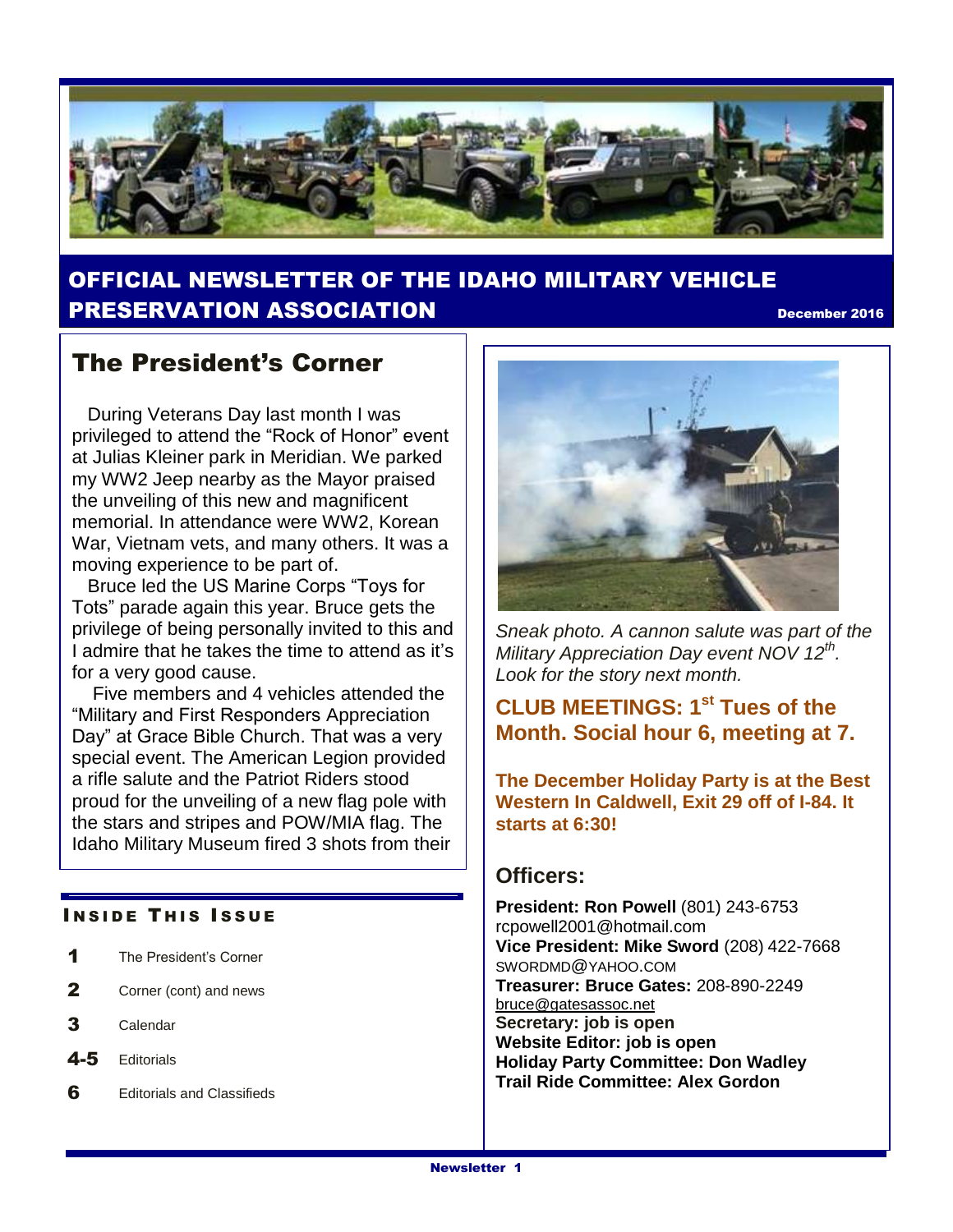

## OFFICIAL NEWSLETTER OF THE IDAHO MILITARY VEHICLE **PRESERVATION ASSOCIATION December 2016**

## The President's Corner

 During Veterans Day last month I was privileged to attend the "Rock of Honor" event at Julias Kleiner park in Meridian. We parked my WW2 Jeep nearby as the Mayor praised the unveiling of this new and magnificent memorial. In attendance were WW2, Korean War, Vietnam vets, and many others. It was a moving experience to be part of.

 Bruce led the US Marine Corps "Toys for Tots" parade again this year. Bruce gets the privilege of being personally invited to this and I admire that he takes the time to attend as it's for a very good cause.

 Five members and 4 vehicles attended the "Military and First Responders Appreciation Day" at Grace Bible Church. That was a very special event. The American Legion provided a rifle salute and the Patriot Riders stood proud for the unveiling of a new flag pole with the stars and stripes and POW/MIA flag. The Idaho Military Museum fired 3 shots from their

#### **INSIDE THIS ISSUE**

- 1 The President's Corner
- 2 Corner (cont) and news
- 3 Calendar
- 4-5 Editorials
- 6 Editorials and Classifieds



*Sneak photo. A cannon salute was part of the Military Appreciation Day event NOV 12th . Look for the story next month.*

### **CLUB MEETINGS: 1st Tues of the Month. Social hour 6, meeting at 7.**

**The December Holiday Party is at the Best Western In Caldwell, Exit 29 off of I-84. It starts at 6:30!**

#### **Officers:**

**President: Ron Powell** (801) 243-6753 rcpowell2001@hotmail.com **Vice President: Mike Sword** (208) 422-7668 SWORDMD@YAHOO.COM **Treasurer: Bruce Gates:** 208-890-2249 [bruce@gatesassoc.net](mailto:bruce@gatesassoc.net) **Secretary: job is open Website Editor: job is open Holiday Party Committee: Don Wadley Trail Ride Committee: Alex Gordon**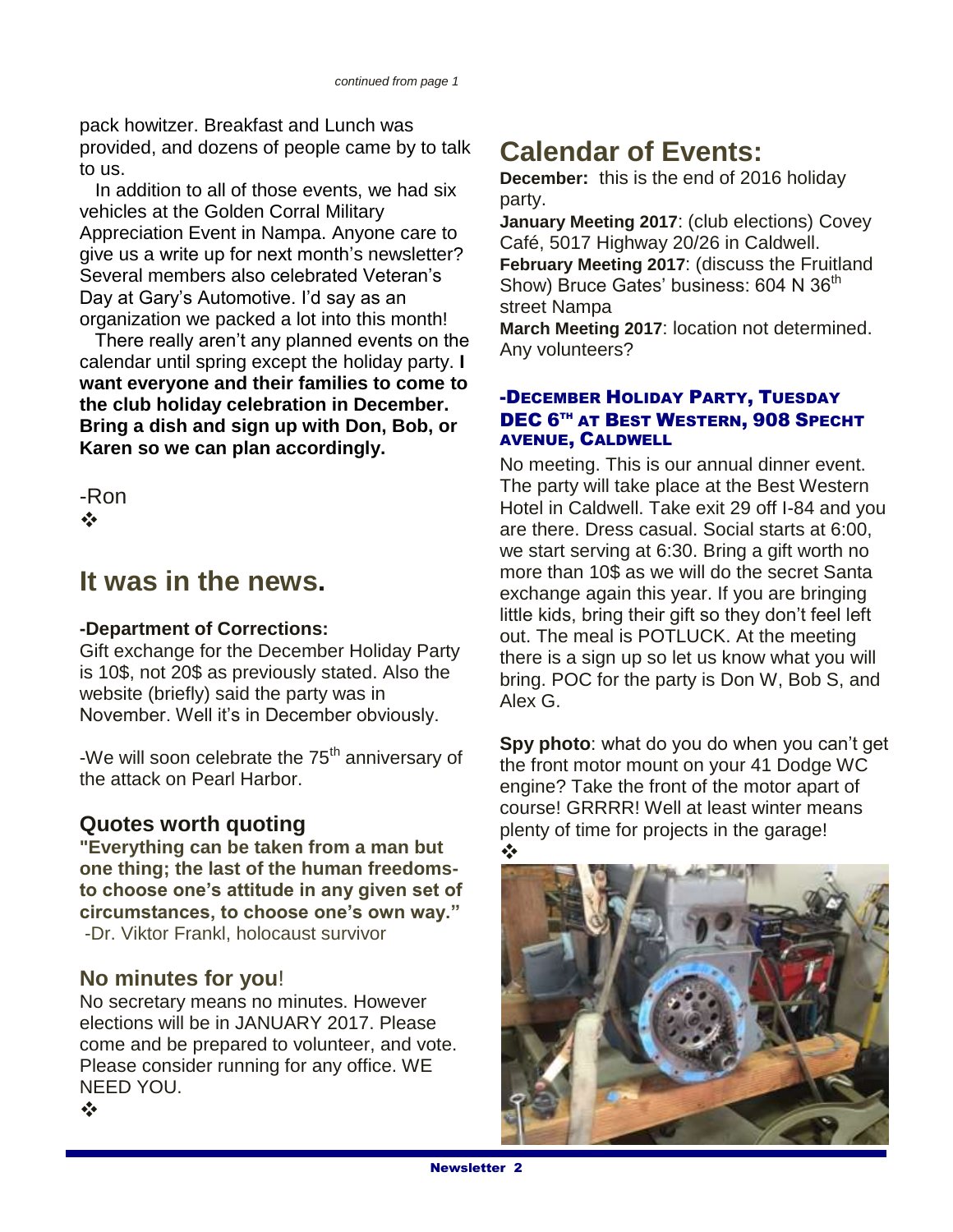pack howitzer. Breakfast and Lunch was provided, and dozens of people came by to talk to us.

 In addition to all of those events, we had six vehicles at the Golden Corral Military Appreciation Event in Nampa. Anyone care to give us a write up for next month's newsletter? Several members also celebrated Veteran's Day at Gary's Automotive. I'd say as an organization we packed a lot into this month!

 There really aren't any planned events on the calendar until spring except the holiday party. **I want everyone and their families to come to the club holiday celebration in December. Bring a dish and sign up with Don, Bob, or Karen so we can plan accordingly.**

-Ron  $\frac{1}{2}$ 

## **It was in the news.**

#### **-Department of Corrections:**

Gift exchange for the December Holiday Party is 10\$, not 20\$ as previously stated. Also the website (briefly) said the party was in November. Well it's in December obviously.

-We will soon celebrate the  $75<sup>th</sup>$  anniversary of the attack on Pearl Harbor.

#### **Quotes worth quoting**

**"Everything can be taken from a man but one thing; the last of the human freedomsto choose one's attitude in any given set of circumstances, to choose one's own way."** -Dr. Viktor Frankl, holocaust survivor

#### **No minutes for you**!

No secretary means no minutes. However elections will be in JANUARY 2017. Please come and be prepared to volunteer, and vote. Please consider running for any office. WE NEED YOU.

# **Calendar of Events:**

**December:** this is the end of 2016 holiday party.

**January Meeting 2017**: (club elections) Covey Café, 5017 Highway 20/26 in Caldwell. **February Meeting 2017**: (discuss the Fruitland Show) Bruce Gates' business: 604 N 36<sup>th</sup> street Nampa

**March Meeting 2017**: location not determined. Any volunteers?

#### -DECEMBER HOLIDAY PARTY, TUESDAY DEC 6<sup>TH</sup> AT BEST WESTERN, 908 SPECHT AVENUE, CALDWELL

No meeting. This is our annual dinner event. The party will take place at the Best Western Hotel in Caldwell. Take exit 29 off I-84 and you are there. Dress casual. Social starts at 6:00, we start serving at 6:30. Bring a gift worth no more than 10\$ as we will do the secret Santa exchange again this year. If you are bringing little kids, bring their gift so they don't feel left out. The meal is POTLUCK. At the meeting there is a sign up so let us know what you will bring. POC for the party is Don W, Bob S, and Alex G.

**Spy photo**: what do you do when you can't get the front motor mount on your 41 Dodge WC engine? Take the front of the motor apart of course! GRRRR! Well at least winter means plenty of time for projects in the garage! ❖



 $\frac{1}{2}$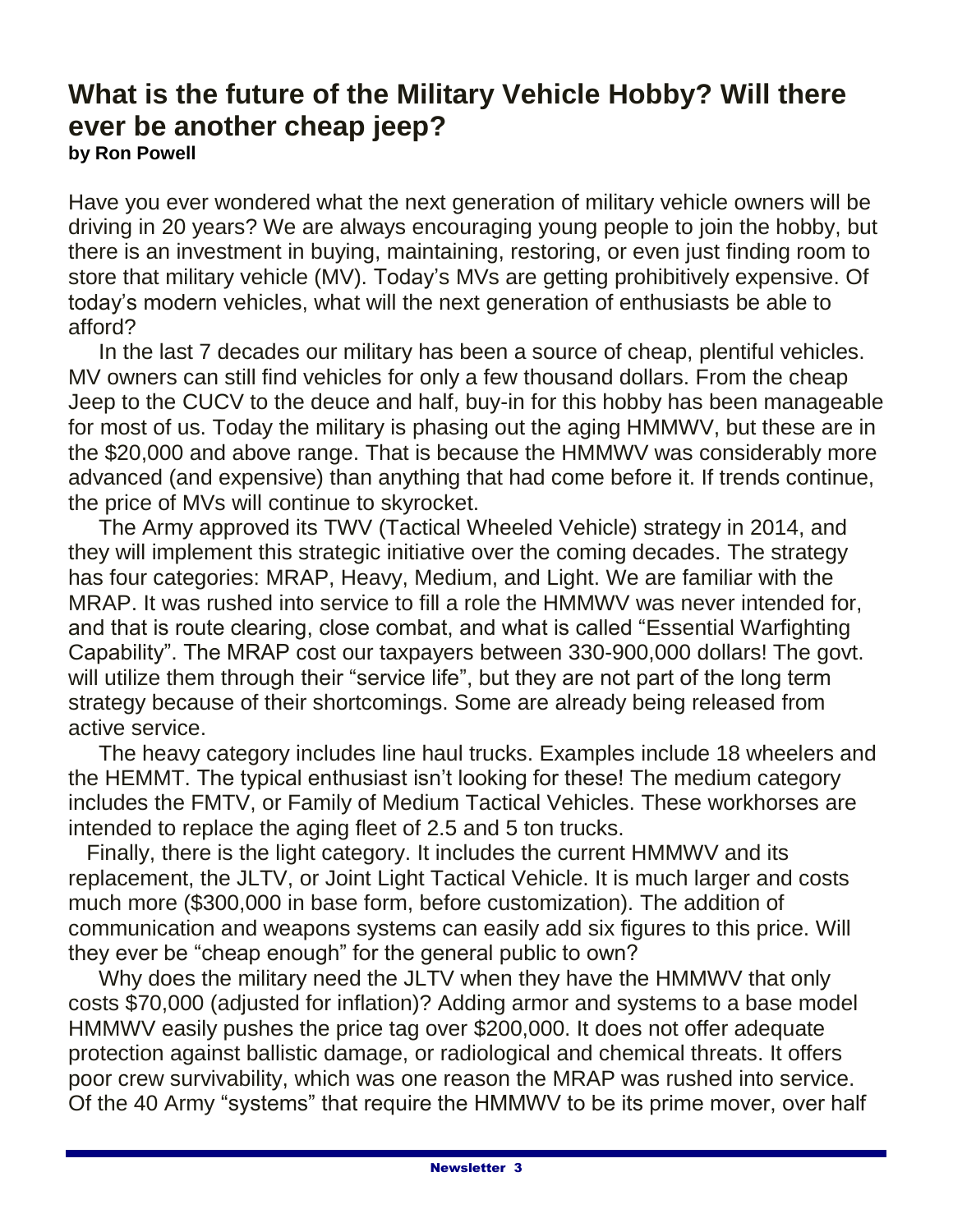## **What is the future of the Military Vehicle Hobby? Will there ever be another cheap jeep? by Ron Powell**

Have you ever wondered what the next generation of military vehicle owners will be driving in 20 years? We are always encouraging young people to join the hobby, but there is an investment in buying, maintaining, restoring, or even just finding room to store that military vehicle (MV). Today's MVs are getting prohibitively expensive. Of today's modern vehicles, what will the next generation of enthusiasts be able to afford?

 In the last 7 decades our military has been a source of cheap, plentiful vehicles. MV owners can still find vehicles for only a few thousand dollars. From the cheap Jeep to the CUCV to the deuce and half, buy-in for this hobby has been manageable for most of us. Today the military is phasing out the aging HMMWV, but these are in the \$20,000 and above range. That is because the HMMWV was considerably more advanced (and expensive) than anything that had come before it. If trends continue, the price of MVs will continue to skyrocket.

 The Army approved its TWV (Tactical Wheeled Vehicle) strategy in 2014, and they will implement this strategic initiative over the coming decades. The strategy has four categories: MRAP, Heavy, Medium, and Light. We are familiar with the MRAP. It was rushed into service to fill a role the HMMWV was never intended for, and that is route clearing, close combat, and what is called "Essential Warfighting Capability". The MRAP cost our taxpayers between 330-900,000 dollars! The govt. will utilize them through their "service life", but they are not part of the long term strategy because of their shortcomings. Some are already being released from active service.

 The heavy category includes line haul trucks. Examples include 18 wheelers and the HEMMT. The typical enthusiast isn't looking for these! The medium category includes the FMTV, or Family of Medium Tactical Vehicles. These workhorses are intended to replace the aging fleet of 2.5 and 5 ton trucks.

 Finally, there is the light category. It includes the current HMMWV and its replacement, the JLTV, or Joint Light Tactical Vehicle. It is much larger and costs much more (\$300,000 in base form, before customization). The addition of communication and weapons systems can easily add six figures to this price. Will they ever be "cheap enough" for the general public to own?

 Why does the military need the JLTV when they have the HMMWV that only costs \$70,000 (adjusted for inflation)? Adding armor and systems to a base model HMMWV easily pushes the price tag over \$200,000. It does not offer adequate protection against ballistic damage, or radiological and chemical threats. It offers poor crew survivability, which was one reason the MRAP was rushed into service. Of the 40 Army "systems" that require the HMMWV to be its prime mover, over half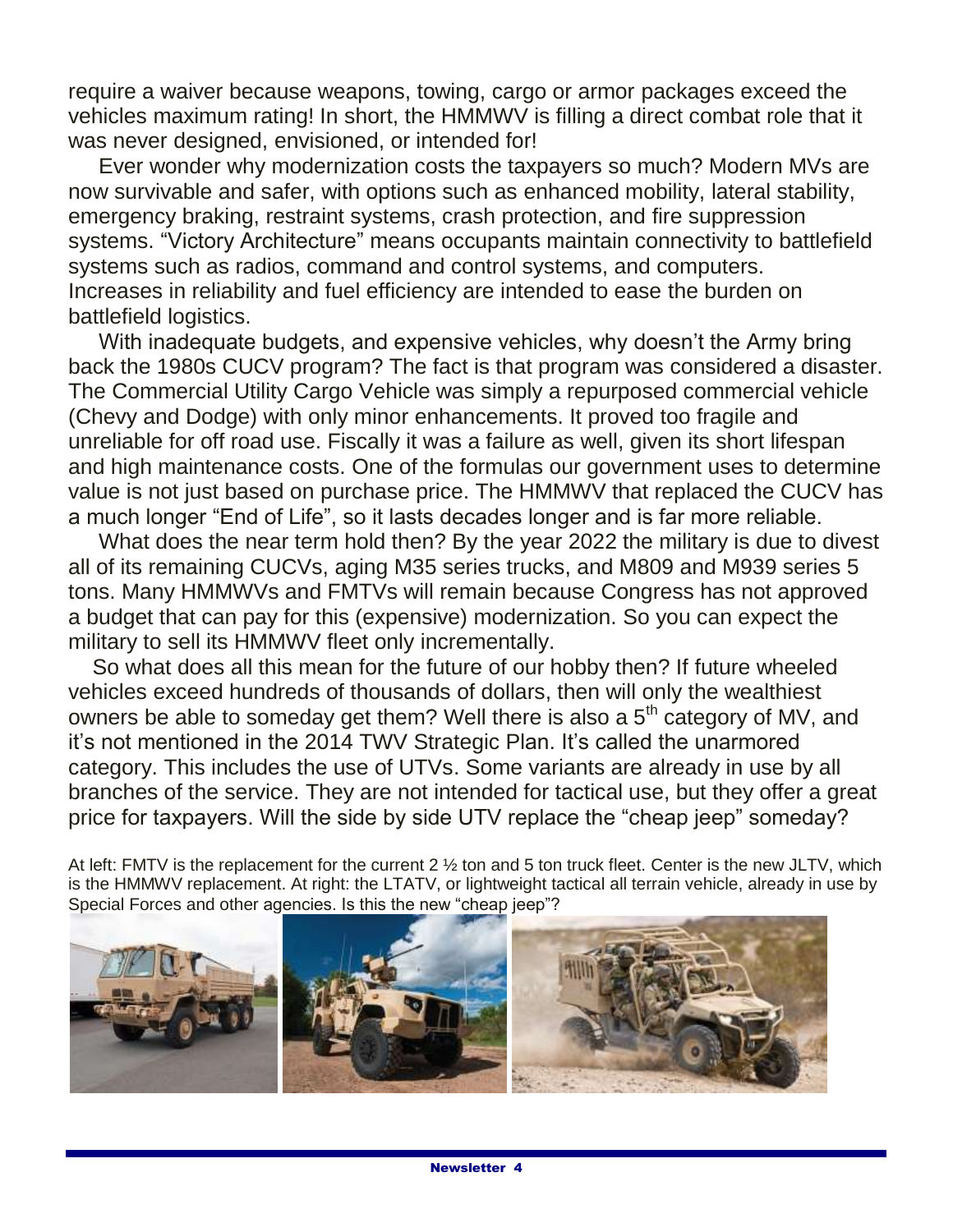require a waiver because weapons, towing, cargo or armor packages exceed the vehicles maximum rating! In short, the HMMWV is filling a direct combat role that it was never designed, envisioned, or intended for!

 Ever wonder why modernization costs the taxpayers so much? Modern MVs are now survivable and safer, with options such as enhanced mobility, lateral stability, emergency braking, restraint systems, crash protection, and fire suppression systems. "Victory Architecture" means occupants maintain connectivity to battlefield systems such as radios, command and control systems, and computers. Increases in reliability and fuel efficiency are intended to ease the burden on battlefield logistics.

 With inadequate budgets, and expensive vehicles, why doesn't the Army bring back the 1980s CUCV program? The fact is that program was considered a disaster. The Commercial Utility Cargo Vehicle was simply a repurposed commercial vehicle (Chevy and Dodge) with only minor enhancements. It proved too fragile and unreliable for off road use. Fiscally it was a failure as well, given its short lifespan and high maintenance costs. One of the formulas our government uses to determine value is not just based on purchase price. The HMMWV that replaced the CUCV has a much longer "End of Life", so it lasts decades longer and is far more reliable.

 What does the near term hold then? By the year 2022 the military is due to divest all of its remaining CUCVs, aging M35 series trucks, and M809 and M939 series 5 tons. Many HMMWVs and FMTVs will remain because Congress has not approved a budget that can pay for this (expensive) modernization. So you can expect the military to sell its HMMWV fleet only incrementally.

 So what does all this mean for the future of our hobby then? If future wheeled vehicles exceed hundreds of thousands of dollars, then will only the wealthiest owners be able to someday get them? Well there is also a  $5<sup>th</sup>$  category of MV, and it's not mentioned in the 2014 TWV Strategic Plan. It's called the unarmored category. This includes the use of UTVs. Some variants are already in use by all branches of the service. They are not intended for tactical use, but they offer a great price for taxpayers. Will the side by side UTV replace the "cheap jeep" someday?

At left: FMTV is the replacement for the current 2 ½ ton and 5 ton truck fleet. Center is the new JLTV, which is the HMMWV replacement. At right: the LTATV, or lightweight tactical all terrain vehicle, already in use by Special Forces and other agencies. Is this the new "cheap jeep"?

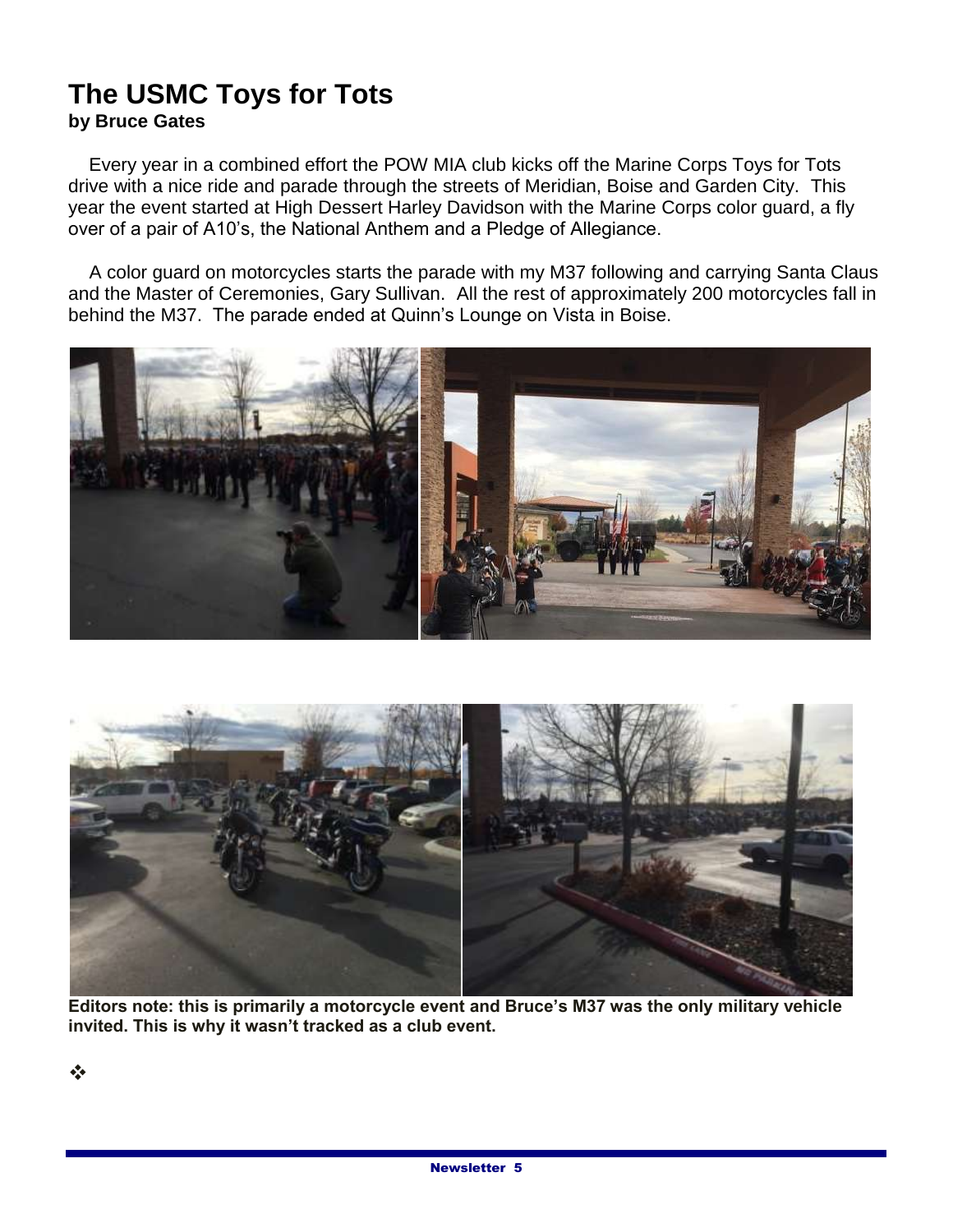## **The USMC Toys for Tots by Bruce Gates**

 Every year in a combined effort the POW MIA club kicks off the Marine Corps Toys for Tots drive with a nice ride and parade through the streets of Meridian, Boise and Garden City. This year the event started at High Dessert Harley Davidson with the Marine Corps color guard, a fly over of a pair of A10's, the National Anthem and a Pledge of Allegiance.

 A color guard on motorcycles starts the parade with my M37 following and carrying Santa Claus and the Master of Ceremonies, Gary Sullivan. All the rest of approximately 200 motorcycles fall in behind the M37. The parade ended at Quinn's Lounge on Vista in Boise.





**Editors note: this is primarily a motorcycle event and Bruce's M37 was the only military vehicle invited. This is why it wasn't tracked as a club event.**